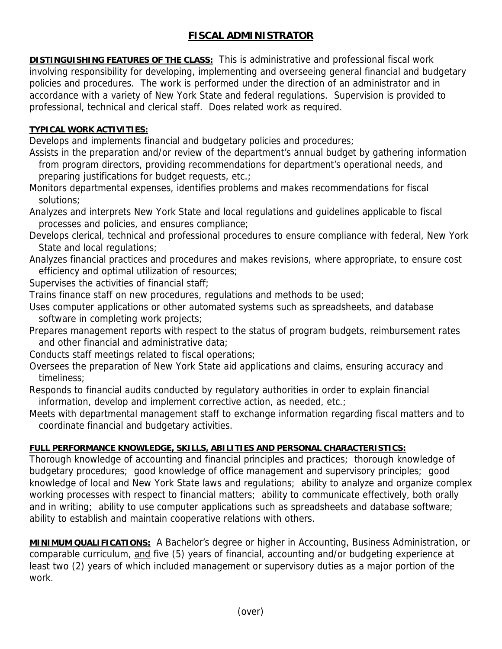## **FISCAL ADMINISTRATOR**

**DISTINGUISHING FEATURES OF THE CLASS:** This is administrative and professional fiscal work involving responsibility for developing, implementing and overseeing general financial and budgetary policies and procedures. The work is performed under the direction of an administrator and in accordance with a variety of New York State and federal regulations. Supervision is provided to professional, technical and clerical staff. Does related work as required.

## **TYPICAL WORK ACTIVITIES:**

Develops and implements financial and budgetary policies and procedures;

- Assists in the preparation and/or review of the department's annual budget by gathering information from program directors, providing recommendations for department's operational needs, and preparing justifications for budget requests, etc.;
- Monitors departmental expenses, identifies problems and makes recommendations for fiscal solutions;
- Analyzes and interprets New York State and local regulations and guidelines applicable to fiscal processes and policies, and ensures compliance;
- Develops clerical, technical and professional procedures to ensure compliance with federal, New York State and local regulations;
- Analyzes financial practices and procedures and makes revisions, where appropriate, to ensure cost efficiency and optimal utilization of resources;
- Supervises the activities of financial staff;
- Trains finance staff on new procedures, regulations and methods to be used;
- Uses computer applications or other automated systems such as spreadsheets, and database software in completing work projects;
- Prepares management reports with respect to the status of program budgets, reimbursement rates and other financial and administrative data;
- Conducts staff meetings related to fiscal operations;
- Oversees the preparation of New York State aid applications and claims, ensuring accuracy and timeliness;
- Responds to financial audits conducted by regulatory authorities in order to explain financial information, develop and implement corrective action, as needed, etc.;
- Meets with departmental management staff to exchange information regarding fiscal matters and to coordinate financial and budgetary activities.

## **FULL PERFORMANCE KNOWLEDGE, SKILLS, ABILITIES AND PERSONAL CHARACTERISTICS:**

Thorough knowledge of accounting and financial principles and practices; thorough knowledge of budgetary procedures; good knowledge of office management and supervisory principles; good knowledge of local and New York State laws and regulations; ability to analyze and organize complex working processes with respect to financial matters; ability to communicate effectively, both orally and in writing; ability to use computer applications such as spreadsheets and database software; ability to establish and maintain cooperative relations with others.

**MINIMUM QUALIFICATIONS:** A Bachelor's degree or higher in Accounting, Business Administration, or comparable curriculum, and five (5) years of financial, accounting and/or budgeting experience at least two (2) years of which included management or supervisory duties as a major portion of the work.